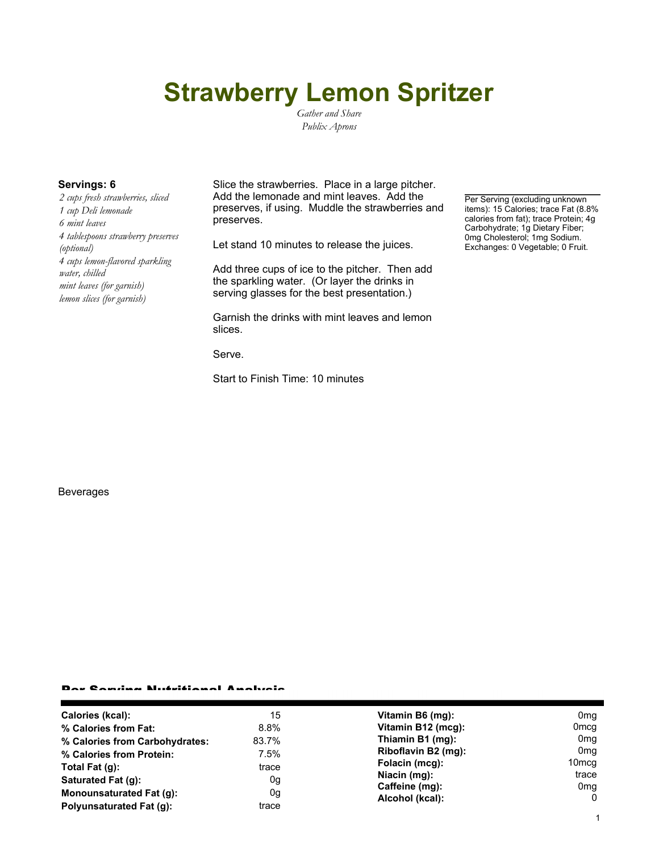# **Strawberry Lemon Spritzer**

*Gather and Share Publix Aprons*

*2 cups fresh strawberries, sliced 1 cup Deli lemonade 6 mint leaves 4 tablespoons strawberry preserves (optional) 4 cups lemon-flavored sparkling water, chilled mint leaves (for garnish) lemon slices (for garnish)*

**Servings: 6** Slice the strawberries. Place in a large pitcher. Add the lemonade and mint leaves. Add the preserves, if using. Muddle the strawberries and preserves.

Let stand 10 minutes to release the juices.

Add three cups of ice to the pitcher. Then add the sparkling water. (Or layer the drinks in serving glasses for the best presentation.)

Garnish the drinks with mint leaves and lemon slices.

Serve.

Start to Finish Time: 10 minutes

Per Serving (excluding unknown items): 15 Calories; trace Fat (8.8% calories from fat); trace Protein; 4g Carbohydrate; 1g Dietary Fiber; 0mg Cholesterol; 1mg Sodium. Exchanges: 0 Vegetable; 0 Fruit.

### Beverages

#### Per Serving Nutritional Analysis

| Calories (kcal):                | 15      | Vitamin B6 (mg):                                                                           | 0 <sub>mg</sub>   |
|---------------------------------|---------|--------------------------------------------------------------------------------------------|-------------------|
| % Calories from Fat:            | $8.8\%$ | Vitamin B12 (mcg):                                                                         | 0 <sub>mcg</sub>  |
| % Calories from Carbohydrates:  | 83.7%   | Thiamin B1 (mg):                                                                           | 0mg               |
| % Calories from Protein:        | 7.5%    | Riboflavin B2 (mg):<br>Folacin (mcg):<br>Niacin (mg):<br>Caffeine (mg):<br>Alcohol (kcal): | 0 <sub>mg</sub>   |
| Total Fat (g):                  | trace   |                                                                                            | 10 <sub>mcq</sub> |
| Saturated Fat (g):              | 0g      |                                                                                            | trace             |
| <b>Monounsaturated Fat (g):</b> | 0g      |                                                                                            | 0mg               |
|                                 |         |                                                                                            | $\Omega$          |
| Polyunsaturated Fat (q):        | trace   |                                                                                            |                   |